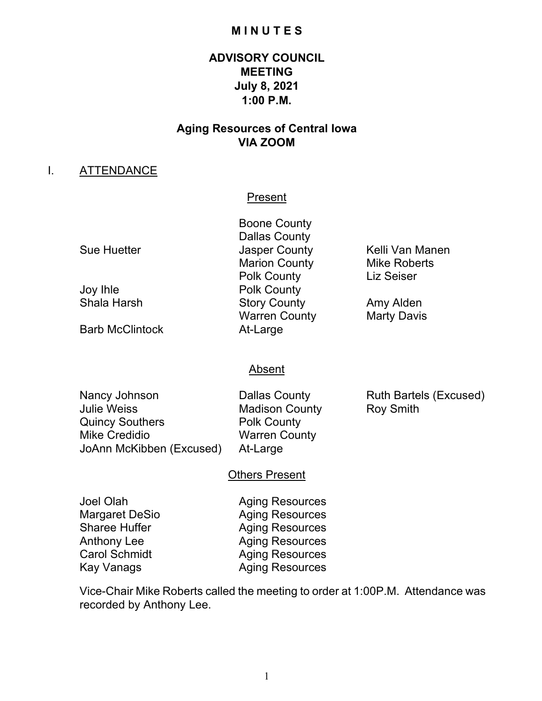## **M I N U T E S**

# **ADVISORY COUNCIL MEETING July 8, 2021 1:00 P.M.**

# **Aging Resources of Central Iowa VIA ZOOM**

### I. ATTENDANCE

#### Present

Barb McClintock At-Large

Boone County Dallas County Sue Huetter **Guelli Van Manen** Jasper County **County** Kelli Van Manen Marion County Mike Roberts Polk County Liz Seiser Joy Ihle Polk County Story County **Amy Alden** Warren County **Marty Davis** 

### Absent

| Nancy Johnson            |
|--------------------------|
| <b>Julie Weiss</b>       |
| <b>Quincy Southers</b>   |
| <b>Mike Credidio</b>     |
| JoAnn McKibben (Excused) |

Dallas County **Ruth Bartels (Excused)** Madison County Roy Smith Polk County **Warren County** At-Large

### Others Present

Joel Olah **Aging Resources** Margaret DeSio **Aging Resources** Sharee Huffer **Aging Resources** Anthony Lee Aging Resources<br>
Carol Schmidt Aging Resources **Aging Resources** Kay Vanags **Aging Resources** 

Vice-Chair Mike Roberts called the meeting to order at 1:00P.M. Attendance was recorded by Anthony Lee.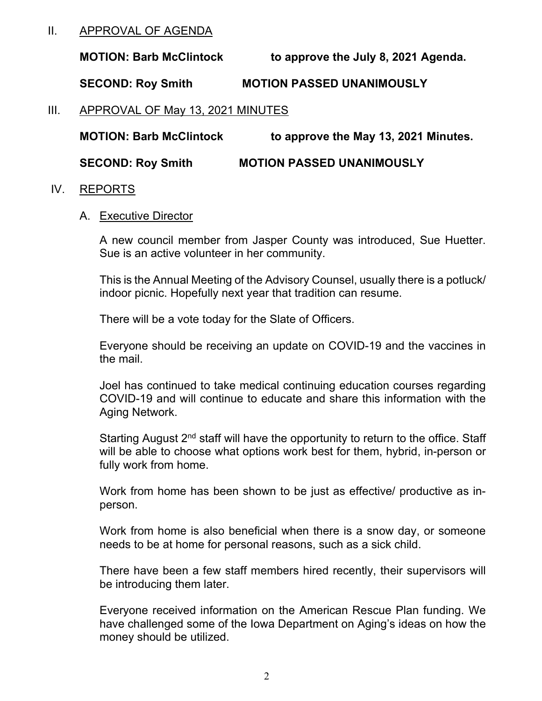# II. APPROVAL OF AGENDA

**MOTION: Barb McClintock to approve the July 8, 2021 Agenda.**

**SECOND: Roy Smith MOTION PASSED UNANIMOUSLY**

III. APPROVAL OF May 13, 2021 MINUTES

**MOTION: Barb McClintock to approve the May 13, 2021 Minutes. SECOND: Roy Smith MOTION PASSED UNANIMOUSLY**

### IV. REPORTS

### A. Executive Director

A new council member from Jasper County was introduced, Sue Huetter. Sue is an active volunteer in her community.

This is the Annual Meeting of the Advisory Counsel, usually there is a potluck/ indoor picnic. Hopefully next year that tradition can resume.

There will be a vote today for the Slate of Officers.

Everyone should be receiving an update on COVID-19 and the vaccines in the mail.

Joel has continued to take medical continuing education courses regarding COVID-19 and will continue to educate and share this information with the Aging Network.

Starting August  $2<sup>nd</sup>$  staff will have the opportunity to return to the office. Staff will be able to choose what options work best for them, hybrid, in-person or fully work from home.

Work from home has been shown to be just as effective/ productive as inperson.

Work from home is also beneficial when there is a snow day, or someone needs to be at home for personal reasons, such as a sick child.

There have been a few staff members hired recently, their supervisors will be introducing them later.

Everyone received information on the American Rescue Plan funding. We have challenged some of the Iowa Department on Aging's ideas on how the money should be utilized.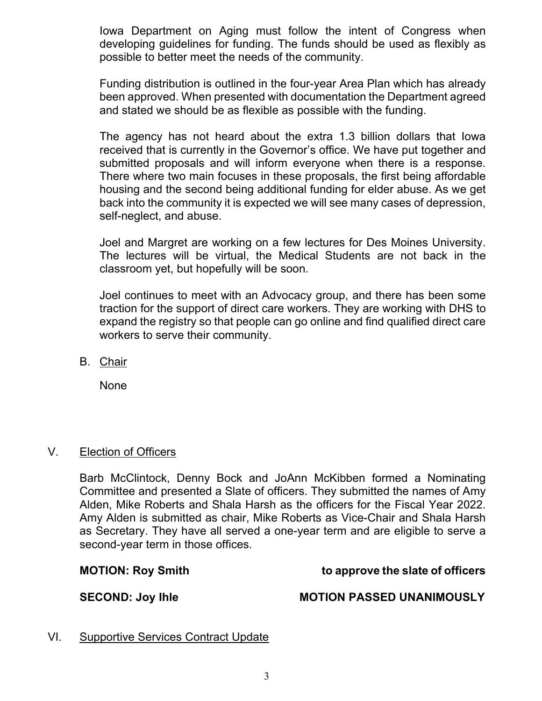Iowa Department on Aging must follow the intent of Congress when developing guidelines for funding. The funds should be used as flexibly as possible to better meet the needs of the community.

Funding distribution is outlined in the four-year Area Plan which has already been approved. When presented with documentation the Department agreed and stated we should be as flexible as possible with the funding.

The agency has not heard about the extra 1.3 billion dollars that Iowa received that is currently in the Governor's office. We have put together and submitted proposals and will inform everyone when there is a response. There where two main focuses in these proposals, the first being affordable housing and the second being additional funding for elder abuse. As we get back into the community it is expected we will see many cases of depression, self-neglect, and abuse.

Joel and Margret are working on a few lectures for Des Moines University. The lectures will be virtual, the Medical Students are not back in the classroom yet, but hopefully will be soon.

Joel continues to meet with an Advocacy group, and there has been some traction for the support of direct care workers. They are working with DHS to expand the registry so that people can go online and find qualified direct care workers to serve their community.

B. Chair

None

# V. Election of Officers

Barb McClintock, Denny Bock and JoAnn McKibben formed a Nominating Committee and presented a Slate of officers. They submitted the names of Amy Alden, Mike Roberts and Shala Harsh as the officers for the Fiscal Year 2022. Amy Alden is submitted as chair, Mike Roberts as Vice-Chair and Shala Harsh as Secretary. They have all served a one-year term and are eligible to serve a second-year term in those offices.

# **MOTION: Roy Smith to approve the slate of officers**

## SECOND: Joy Ihle **MOTION PASSED UNANIMOUSLY**

VI. Supportive Services Contract Update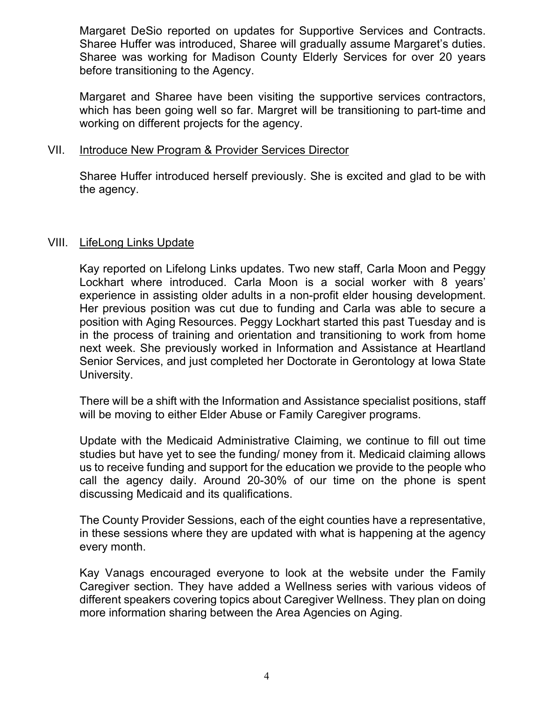Margaret DeSio reported on updates for Supportive Services and Contracts. Sharee Huffer was introduced, Sharee will gradually assume Margaret's duties. Sharee was working for Madison County Elderly Services for over 20 years before transitioning to the Agency.

Margaret and Sharee have been visiting the supportive services contractors, which has been going well so far. Margret will be transitioning to part-time and working on different projects for the agency.

## VII. Introduce New Program & Provider Services Director

Sharee Huffer introduced herself previously. She is excited and glad to be with the agency.

## VIII. LifeLong Links Update

Kay reported on Lifelong Links updates. Two new staff, Carla Moon and Peggy Lockhart where introduced. Carla Moon is a social worker with 8 years' experience in assisting older adults in a non-profit elder housing development. Her previous position was cut due to funding and Carla was able to secure a position with Aging Resources. Peggy Lockhart started this past Tuesday and is in the process of training and orientation and transitioning to work from home next week. She previously worked in Information and Assistance at Heartland Senior Services, and just completed her Doctorate in Gerontology at Iowa State University.

There will be a shift with the Information and Assistance specialist positions, staff will be moving to either Elder Abuse or Family Caregiver programs.

Update with the Medicaid Administrative Claiming, we continue to fill out time studies but have yet to see the funding/ money from it. Medicaid claiming allows us to receive funding and support for the education we provide to the people who call the agency daily. Around 20-30% of our time on the phone is spent discussing Medicaid and its qualifications.

The County Provider Sessions, each of the eight counties have a representative, in these sessions where they are updated with what is happening at the agency every month.

Kay Vanags encouraged everyone to look at the website under the Family Caregiver section. They have added a Wellness series with various videos of different speakers covering topics about Caregiver Wellness. They plan on doing more information sharing between the Area Agencies on Aging.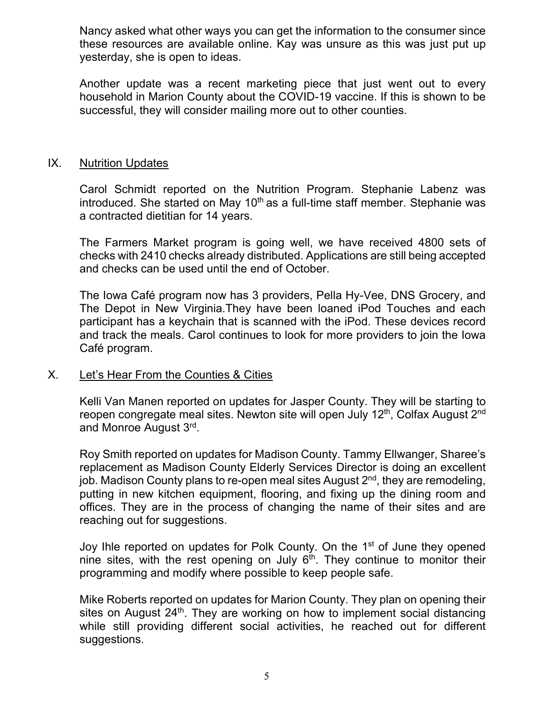Nancy asked what other ways you can get the information to the consumer since these resources are available online. Kay was unsure as this was just put up yesterday, she is open to ideas.

Another update was a recent marketing piece that just went out to every household in Marion County about the COVID-19 vaccine. If this is shown to be successful, they will consider mailing more out to other counties.

## IX. Nutrition Updates

Carol Schmidt reported on the Nutrition Program. Stephanie Labenz was introduced. She started on May  $10<sup>th</sup>$  as a full-time staff member. Stephanie was a contracted dietitian for 14 years.

The Farmers Market program is going well, we have received 4800 sets of checks with 2410 checks already distributed. Applications are still being accepted and checks can be used until the end of October.

The Iowa Café program now has 3 providers, Pella Hy-Vee, DNS Grocery, and The Depot in New Virginia.They have been loaned iPod Touches and each participant has a keychain that is scanned with the iPod. These devices record and track the meals. Carol continues to look for more providers to join the Iowa Café program.

## X. Let's Hear From the Counties & Cities

Kelli Van Manen reported on updates for Jasper County. They will be starting to reopen congregate meal sites. Newton site will open July 12<sup>th</sup>, Colfax August 2<sup>nd</sup> and Monroe August 3<sup>rd</sup>.

Roy Smith reported on updates for Madison County. Tammy Ellwanger, Sharee's replacement as Madison County Elderly Services Director is doing an excellent job. Madison County plans to re-open meal sites August 2<sup>nd</sup>, they are remodeling, putting in new kitchen equipment, flooring, and fixing up the dining room and offices. They are in the process of changing the name of their sites and are reaching out for suggestions.

Joy Ihle reported on updates for Polk County. On the 1<sup>st</sup> of June they opened nine sites, with the rest opening on July  $6<sup>th</sup>$ . They continue to monitor their programming and modify where possible to keep people safe.

Mike Roberts reported on updates for Marion County. They plan on opening their sites on August  $24<sup>th</sup>$ . They are working on how to implement social distancing while still providing different social activities, he reached out for different suggestions.